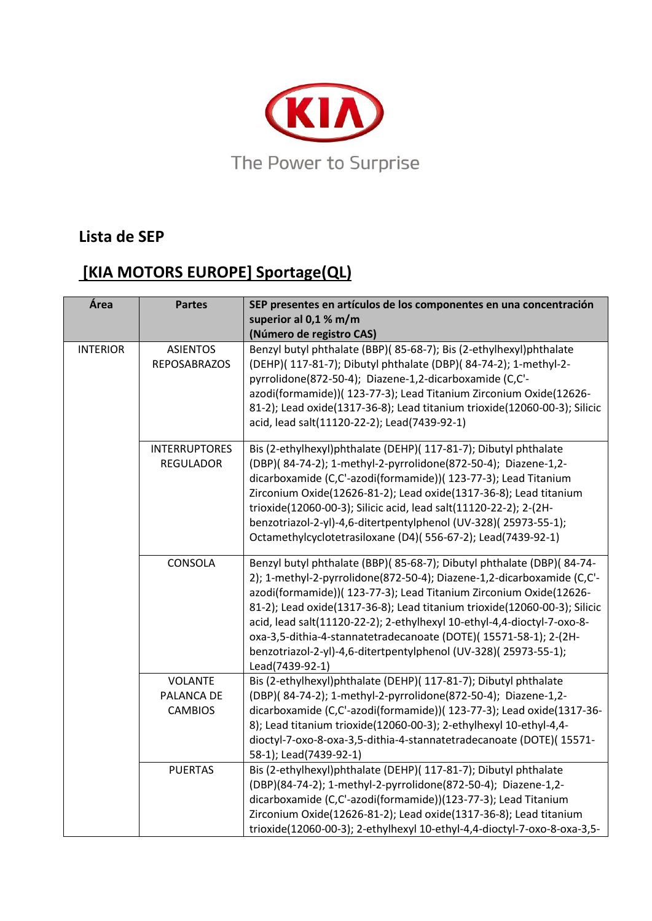

## **Lista de SEP**

## **[KIA MOTORS EUROPE] Sportage(QL)**

| Área            | <b>Partes</b>                                  | SEP presentes en artículos de los componentes en una concentración<br>superior al 0,1 % m/m<br>(Número de registro CAS)                                                                                                                                                                                                                                                                                                                                                                                                                 |
|-----------------|------------------------------------------------|-----------------------------------------------------------------------------------------------------------------------------------------------------------------------------------------------------------------------------------------------------------------------------------------------------------------------------------------------------------------------------------------------------------------------------------------------------------------------------------------------------------------------------------------|
| <b>INTERIOR</b> | <b>ASIENTOS</b><br><b>REPOSABRAZOS</b>         | Benzyl butyl phthalate (BBP)(85-68-7); Bis (2-ethylhexyl)phthalate<br>(DEHP)( 117-81-7); Dibutyl phthalate (DBP)( 84-74-2); 1-methyl-2-<br>pyrrolidone(872-50-4); Diazene-1,2-dicarboxamide (C,C'-<br>azodi(formamide))( 123-77-3); Lead Titanium Zirconium Oxide(12626-<br>81-2); Lead oxide(1317-36-8); Lead titanium trioxide(12060-00-3); Silicic<br>acid, lead salt(11120-22-2); Lead(7439-92-1)                                                                                                                                   |
|                 | <b>INTERRUPTORES</b><br><b>REGULADOR</b>       | Bis (2-ethylhexyl)phthalate (DEHP)( 117-81-7); Dibutyl phthalate<br>(DBP)(84-74-2); 1-methyl-2-pyrrolidone(872-50-4); Diazene-1,2-<br>dicarboxamide (C,C'-azodi(formamide))( 123-77-3); Lead Titanium<br>Zirconium Oxide(12626-81-2); Lead oxide(1317-36-8); Lead titanium<br>trioxide(12060-00-3); Silicic acid, lead salt(11120-22-2); 2-(2H-<br>benzotriazol-2-yl)-4,6-ditertpentylphenol (UV-328)(25973-55-1);<br>Octamethylcyclotetrasiloxane (D4)(556-67-2); Lead(7439-92-1)                                                      |
|                 | CONSOLA                                        | Benzyl butyl phthalate (BBP)(85-68-7); Dibutyl phthalate (DBP)(84-74-<br>2); 1-methyl-2-pyrrolidone(872-50-4); Diazene-1,2-dicarboxamide (C,C'-<br>azodi(formamide))( 123-77-3); Lead Titanium Zirconium Oxide(12626-<br>81-2); Lead oxide(1317-36-8); Lead titanium trioxide(12060-00-3); Silicic<br>acid, lead salt(11120-22-2); 2-ethylhexyl 10-ethyl-4,4-dioctyl-7-oxo-8-<br>oxa-3,5-dithia-4-stannatetradecanoate (DOTE)(15571-58-1); 2-(2H-<br>benzotriazol-2-yl)-4,6-ditertpentylphenol (UV-328)(25973-55-1);<br>Lead(7439-92-1) |
|                 | <b>VOLANTE</b><br>PALANCA DE<br><b>CAMBIOS</b> | Bis (2-ethylhexyl)phthalate (DEHP)( 117-81-7); Dibutyl phthalate<br>(DBP)(84-74-2); 1-methyl-2-pyrrolidone(872-50-4); Diazene-1,2-<br>dicarboxamide (C,C'-azodi(formamide))( 123-77-3); Lead oxide(1317-36-<br>8); Lead titanium trioxide(12060-00-3); 2-ethylhexyl 10-ethyl-4,4-<br>dioctyl-7-oxo-8-oxa-3,5-dithia-4-stannatetradecanoate (DOTE)(15571-<br>58-1); Lead(7439-92-1)                                                                                                                                                      |
|                 | <b>PUERTAS</b>                                 | Bis (2-ethylhexyl)phthalate (DEHP)( 117-81-7); Dibutyl phthalate<br>(DBP)(84-74-2); 1-methyl-2-pyrrolidone(872-50-4); Diazene-1,2-<br>dicarboxamide (C,C'-azodi(formamide))(123-77-3); Lead Titanium<br>Zirconium Oxide(12626-81-2); Lead oxide(1317-36-8); Lead titanium<br>trioxide(12060-00-3); 2-ethylhexyl 10-ethyl-4,4-dioctyl-7-oxo-8-oxa-3,5-                                                                                                                                                                                   |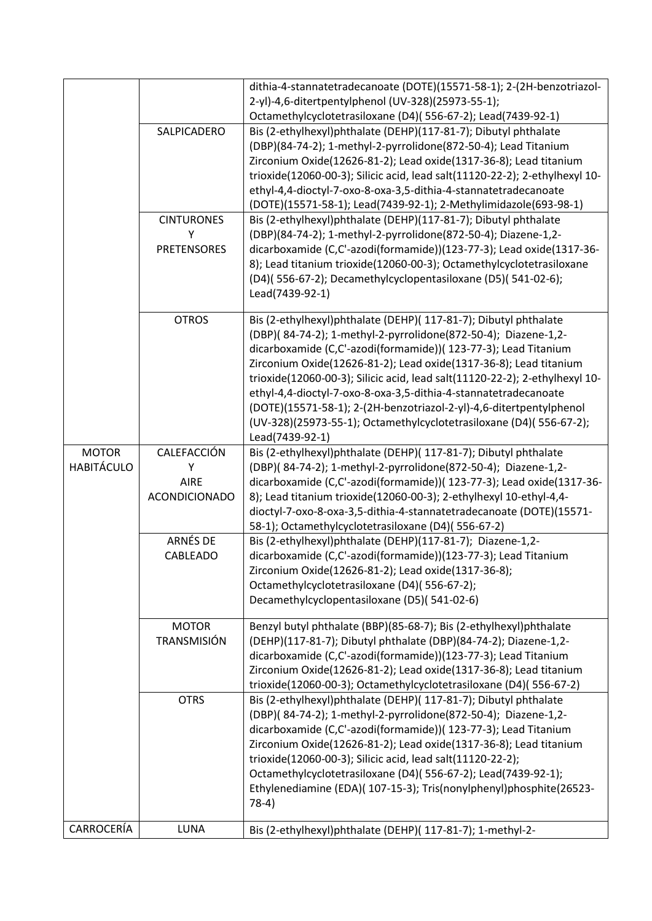|                   |                                          | dithia-4-stannatetradecanoate (DOTE)(15571-58-1); 2-(2H-benzotriazol-<br>2-yl)-4,6-ditertpentylphenol (UV-328)(25973-55-1);<br>Octamethylcyclotetrasiloxane (D4)(556-67-2); Lead(7439-92-1)                                                                                                                                                                                                                                                                                                                                                                                                  |
|-------------------|------------------------------------------|----------------------------------------------------------------------------------------------------------------------------------------------------------------------------------------------------------------------------------------------------------------------------------------------------------------------------------------------------------------------------------------------------------------------------------------------------------------------------------------------------------------------------------------------------------------------------------------------|
|                   | SALPICADERO                              | Bis (2-ethylhexyl)phthalate (DEHP)(117-81-7); Dibutyl phthalate<br>(DBP)(84-74-2); 1-methyl-2-pyrrolidone(872-50-4); Lead Titanium<br>Zirconium Oxide(12626-81-2); Lead oxide(1317-36-8); Lead titanium<br>trioxide(12060-00-3); Silicic acid, lead salt(11120-22-2); 2-ethylhexyl 10-<br>ethyl-4,4-dioctyl-7-oxo-8-oxa-3,5-dithia-4-stannatetradecanoate<br>(DOTE)(15571-58-1); Lead(7439-92-1); 2-Methylimidazole(693-98-1)                                                                                                                                                                |
|                   | <b>CINTURONES</b>                        | Bis (2-ethylhexyl)phthalate (DEHP)(117-81-7); Dibutyl phthalate                                                                                                                                                                                                                                                                                                                                                                                                                                                                                                                              |
|                   | Υ<br><b>PRETENSORES</b>                  | (DBP)(84-74-2); 1-methyl-2-pyrrolidone(872-50-4); Diazene-1,2-<br>dicarboxamide (C,C'-azodi(formamide))(123-77-3); Lead oxide(1317-36-<br>8); Lead titanium trioxide(12060-00-3); Octamethylcyclotetrasiloxane<br>(D4)(556-67-2); Decamethylcyclopentasiloxane (D5)(541-02-6);<br>Lead(7439-92-1)                                                                                                                                                                                                                                                                                            |
|                   | <b>OTROS</b>                             | Bis (2-ethylhexyl)phthalate (DEHP)( 117-81-7); Dibutyl phthalate<br>(DBP)(84-74-2); 1-methyl-2-pyrrolidone(872-50-4); Diazene-1,2-<br>dicarboxamide (C,C'-azodi(formamide))( 123-77-3); Lead Titanium<br>Zirconium Oxide(12626-81-2); Lead oxide(1317-36-8); Lead titanium<br>trioxide(12060-00-3); Silicic acid, lead salt(11120-22-2); 2-ethylhexyl 10-<br>ethyl-4,4-dioctyl-7-oxo-8-oxa-3,5-dithia-4-stannatetradecanoate<br>(DOTE)(15571-58-1); 2-(2H-benzotriazol-2-yl)-4,6-ditertpentylphenol<br>(UV-328)(25973-55-1); Octamethylcyclotetrasiloxane (D4)(556-67-2);<br>Lead(7439-92-1) |
| <b>MOTOR</b>      | CALEFACCIÓN                              | Bis (2-ethylhexyl)phthalate (DEHP)( 117-81-7); Dibutyl phthalate                                                                                                                                                                                                                                                                                                                                                                                                                                                                                                                             |
| <b>HABITÁCULO</b> | Υ<br><b>AIRE</b><br><b>ACONDICIONADO</b> | (DBP)(84-74-2); 1-methyl-2-pyrrolidone(872-50-4); Diazene-1,2-<br>dicarboxamide (C,C'-azodi(formamide))( 123-77-3); Lead oxide(1317-36-<br>8); Lead titanium trioxide(12060-00-3); 2-ethylhexyl 10-ethyl-4,4-<br>dioctyl-7-oxo-8-oxa-3,5-dithia-4-stannatetradecanoate (DOTE)(15571-<br>58-1); Octamethylcyclotetrasiloxane (D4)(556-67-2)                                                                                                                                                                                                                                                   |
|                   | ARNÉS DE<br>CABLEADO                     | Bis (2-ethylhexyl)phthalate (DEHP)(117-81-7); Diazene-1,2-<br>dicarboxamide (C,C'-azodi(formamide))(123-77-3); Lead Titanium<br>Zirconium Oxide(12626-81-2); Lead oxide(1317-36-8);<br>Octamethylcyclotetrasiloxane (D4)(556-67-2);<br>Decamethylcyclopentasiloxane (D5)(541-02-6)                                                                                                                                                                                                                                                                                                           |
|                   | <b>MOTOR</b><br><b>TRANSMISIÓN</b>       | Benzyl butyl phthalate (BBP)(85-68-7); Bis (2-ethylhexyl)phthalate<br>(DEHP)(117-81-7); Dibutyl phthalate (DBP)(84-74-2); Diazene-1,2-<br>dicarboxamide (C,C'-azodi(formamide))(123-77-3); Lead Titanium<br>Zirconium Oxide(12626-81-2); Lead oxide(1317-36-8); Lead titanium<br>trioxide(12060-00-3); Octamethylcyclotetrasiloxane (D4)(556-67-2)                                                                                                                                                                                                                                           |
|                   | <b>OTRS</b>                              | Bis (2-ethylhexyl)phthalate (DEHP)( 117-81-7); Dibutyl phthalate<br>(DBP)(84-74-2); 1-methyl-2-pyrrolidone(872-50-4); Diazene-1,2-<br>dicarboxamide (C,C'-azodi(formamide))( 123-77-3); Lead Titanium<br>Zirconium Oxide(12626-81-2); Lead oxide(1317-36-8); Lead titanium<br>trioxide(12060-00-3); Silicic acid, lead salt(11120-22-2);<br>Octamethylcyclotetrasiloxane (D4)(556-67-2); Lead(7439-92-1);<br>Ethylenediamine (EDA)( 107-15-3); Tris(nonylphenyl)phosphite(26523-<br>$78-4)$                                                                                                  |
| CARROCERÍA        | LUNA                                     | Bis (2-ethylhexyl)phthalate (DEHP)( 117-81-7); 1-methyl-2-                                                                                                                                                                                                                                                                                                                                                                                                                                                                                                                                   |